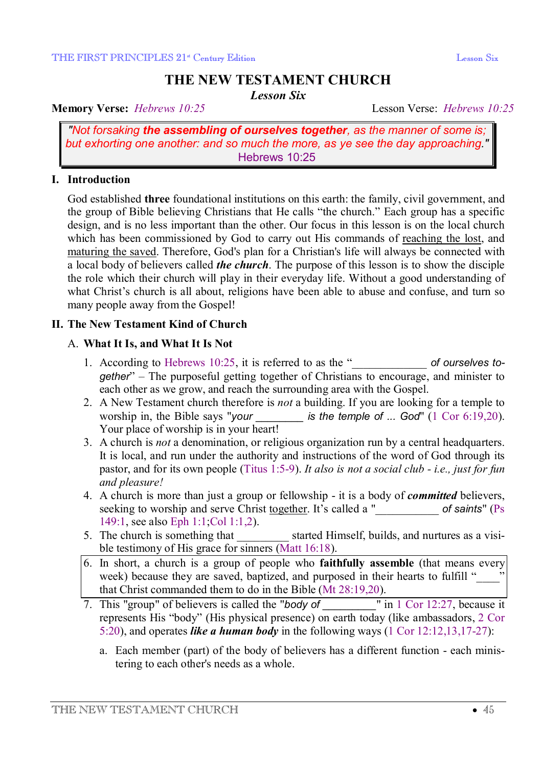# **THE NEW TESTAMENT CHURCH**

*Lesson Six* 

**Memory Verse:** *Hebrews 10:25* Lesson Verse: *Hebrews 10:25*

*"Not forsaking the assembling of ourselves together, as the manner of some is; but exhorting one another: and so much the more, as ye see the day approaching."* Hebrews 10:25

### **I. Introduction**

God established **three** foundational institutions on this earth: the family, civil government, and the group of Bible believing Christians that He calls "the church." Each group has a specific design, and is no less important than the other. Our focus in this lesson is on the local church which has been commissioned by God to carry out His commands of reaching the lost, and maturing the saved. Therefore, God's plan for a Christian's life will always be connected with a local body of believers called *the church*. The purpose of this lesson is to show the disciple the role which their church will play in their everyday life. Without a good understanding of what Christ's church is all about, religions have been able to abuse and confuse, and turn so many people away from the Gospel!

### **II. The New Testament Kind of Church**

# A. **What It Is, and What It Is Not**

- 1. According to Hebrews 10:25, it is referred to as the " of ourselves to*gether*" – The purposeful getting together of Christians to encourage, and minister to each other as we grow, and reach the surrounding area with the Gospel.
- 2. A New Testament church therefore is *not* a building. If you are looking for a temple to worship in, the Bible says "*your \_\_\_\_\_\_\_\_ is the temple of ... God*" (1 Cor 6:19,20). Your place of worship is in your heart!
- 3. A church is *not* a denomination, or religious organization run by a central headquarters. It is local, and run under the authority and instructions of the word of God through its pastor, and for its own people (Titus 1:5-9). *It also is not a social club - i.e., just for fun and pleasure!*
- 4. A church is more than just a group or fellowship it is a body of *committed* believers, seeking to worship and serve Christ together. It's called a "\_\_\_\_\_\_\_\_\_\_\_ *of saints*" (Ps 149:1, see also Eph 1:1;Col 1:1,2).
- 5. The church is something that \_\_\_\_\_\_\_\_\_ started Himself, builds, and nurtures as a visible testimony of His grace for sinners (Matt 16:18).
- 6. In short, a church is a group of people who **faithfully assemble** (that means every week) because they are saved, baptized, and purposed in their hearts to fulfill " that Christ commanded them to do in the Bible (Mt 28:19,20).
- 7. This "group" of believers is called the "*body* of  $\blacksquare$  in 1 Cor 12:27, because it represents His "body" (His physical presence) on earth today (like ambassadors, 2 Cor 5:20), and operates *like a human body* in the following ways (1 Cor 12:12,13,17-27):
	- a. Each member (part) of the body of believers has a different function each ministering to each other's needs as a whole.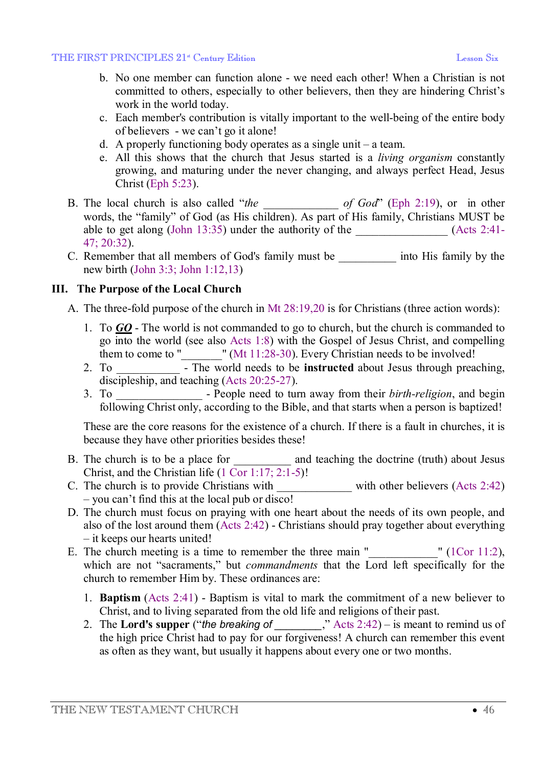- b. No one member can function alone we need each other! When a Christian is not committed to others, especially to other believers, then they are hindering Christ's work in the world today.
- c. Each member's contribution is vitally important to the well-being of the entire body of believers - we can't go it alone!
- d. A properly functioning body operates as a single unit a team.
- e. All this shows that the church that Jesus started is a *living organism* constantly growing, and maturing under the never changing, and always perfect Head, Jesus Christ (Eph 5:23).
- B. The local church is also called "*the \_\_\_\_\_\_\_\_\_\_\_\_\_ of God*" (Eph 2:19), or in other words, the "family" of God (as His children). As part of His family, Christians MUST be able to get along (John 13:35) under the authority of the  $(Acts 2:41-$ 47; 20:32).
- C. Remember that all members of God's family must be *into His family by the* new birth (John 3:3; John 1:12,13)

### **III. The Purpose of the Local Church**

- A. The three-fold purpose of the church in Mt 28:19,20 is for Christians (three action words):
	- 1. To *GO* The world is not commanded to go to church, but the church is commanded to go into the world (see also Acts 1:8) with the Gospel of Jesus Christ, and compelling them to come to "\_\_\_\_\_\_\_" (Mt 11:28-30). Every Christian needs to be involved!
	- 2. To \_\_\_\_\_\_\_\_\_\_\_ The world needs to be **instructed** about Jesus through preaching, discipleship, and teaching (Acts 20:25-27).
	- 3. To \_\_\_\_\_\_\_\_\_\_\_\_\_\_\_ People need to turn away from their *birth-religion*, and begin following Christ only, according to the Bible, and that starts when a person is baptized!

These are the core reasons for the existence of a church. If there is a fault in churches, it is because they have other priorities besides these!

- B. The church is to be a place for \_\_\_\_\_\_\_\_\_\_\_ and teaching the doctrine (truth) about Jesus Christ, and the Christian life (1 Cor 1:17; 2:1-5)!
- C. The church is to provide Christians with \_\_\_\_\_\_\_\_\_\_\_\_\_\_\_\_ with other believers (Acts 2:42) – you can't find this at the local pub or disco!
- D. The church must focus on praying with one heart about the needs of its own people, and also of the lost around them (Acts 2:42) - Christians should pray together about everything – it keeps our hearts united!
- E. The church meeting is a time to remember the three main " $\qquad$  " (1Cor 11:2), which are not "sacraments," but *commandments* that the Lord left specifically for the church to remember Him by. These ordinances are:
	- 1. **Baptism** (Acts 2:41) Baptism is vital to mark the commitment of a new believer to Christ, and to living separated from the old life and religions of their past.
	- 2. The **Lord's supper** ("*the breaking of \_\_\_\_\_\_\_\_*," Acts 2:42) is meant to remind us of the high price Christ had to pay for our forgiveness! A church can remember this event as often as they want, but usually it happens about every one or two months.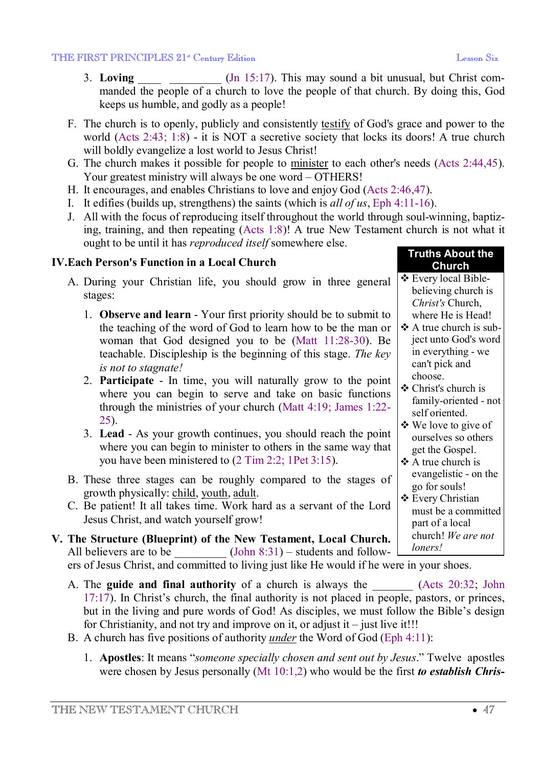**Church** 

believing church is *Christ's* Church, where He is Head!  $\triangle$  A true church is subject unto God's word in everything - we can't pick and

choose.

v Christ's church is

self oriented.  $\triangleleft$  We love to give of ourselves so others get the Gospel.  $\triangle$  A true church is

go for souls! **❖** Every Christian

> part of a local church! *We are not*

*loners!*

family-oriented - not

evangelistic - on the

must be a committed

- 3. **Loving** (Jn 15:17). This may sound a bit unusual, but Christ commanded the people of a church to love the people of that church. By doing this, God keeps us humble, and godly as a people!
- F. The church is to openly, publicly and consistently testify of God's grace and power to the world (Acts 2:43; 1:8) - it is NOT a secretive society that locks its doors! A true church will boldly evangelize a lost world to Jesus Christ!
- G. The church makes it possible for people to minister to each other's needs (Acts 2:44,45). Your greatest ministry will always be one word - OTHERS!
- H. It encourages, and enables Christians to love and enjoy God (Acts 2:46,47).
- I. It edifies (builds up, strengthens) the saints (which is *all of us*, Eph 4:11-16).
- J. All with the focus of reproducing itself throughout the world through soul-winning, baptizing, training, and then repeating (Acts 1:8)! A true New Testament church is not what it ought to be until it has *reproduced itself* somewhere else. **Truths About the**

# **IV.Each Person's Function in a Local Church**

- A. During your Christian life, you should grow in three general stages: **V** Every local Bible-
	- 1. **Observe and learn** Your first priority should be to submit to the teaching of the word of God to learn how to be the man or woman that God designed you to be (Matt 11:28-30). Be teachable. Discipleship is the beginning of this stage. *The key is not to stagnate!*
	- 2. **Participate** In time, you will naturally grow to the point where you can begin to serve and take on basic functions through the ministries of your church (Matt 4:19; James 1:22- 25).
	- 3. **Lead** As your growth continues, you should reach the point where you can begin to minister to others in the same way that you have been ministered to (2 Tim 2:2; 1Pet 3:15).
- B. These three stages can be roughly compared to the stages of growth physically: child, youth, adult.
- C. Be patient! It all takes time. Work hard as a servant of the Lord Jesus Christ, and watch yourself grow!
- **V. The Structure (Blueprint) of the New Testament, Local Church.** All believers are to be  $(John 8:31) - students and follow-$

ers of Jesus Christ, and committed to living just like He would if he were in your shoes.

- A. The **guide and final authority** of a church is always the (Acts 20:32; John 17:17). In Christ's church, the final authority is not placed in people, pastors, or princes, but in the living and pure words of God! As disciples, we must follow the Bible's design for Christianity, and not try and improve on it, or adjust it – just live it!!!
- B. A church has five positions of authority *under* the Word of God (Eph 4:11):
	- 1. **Apostles**: It means "*someone specially chosen and sent out by Jesus*." Twelve apostles were chosen by Jesus personally (Mt 10:1,2) who would be the first *to establish Chris-*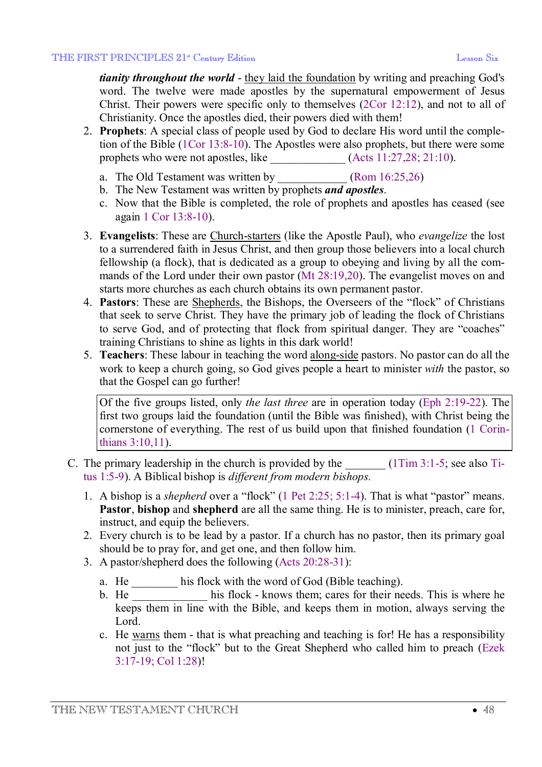*tianity throughout the world* - they laid the foundation by writing and preaching God's word. The twelve were made apostles by the supernatural empowerment of Jesus Christ. Their powers were specific only to themselves (2Cor 12:12), and not to all of Christianity. Once the apostles died, their powers died with them!

- 2. **Prophets**: A special class of people used by God to declare His word until the completion of the Bible (1Cor 13:8-10). The Apostles were also prophets, but there were some prophets who were not apostles, like \_\_\_\_\_\_\_\_\_\_\_\_\_ (Acts 11:27,28; 21:10).
	- a. The Old Testament was written by *(Rom 16:25,26)*
	- b. The New Testament was written by prophets *and apostles*.
	- c. Now that the Bible is completed, the role of prophets and apostles has ceased (see again 1 Cor 13:8-10).
- 3. **Evangelists**: These are Church-starters (like the Apostle Paul), who *evangelize* the lost to a surrendered faith in Jesus Christ, and then group those believers into a local church fellowship (a flock), that is dedicated as a group to obeying and living by all the commands of the Lord under their own pastor (Mt 28:19,20). The evangelist moves on and starts more churches as each church obtains its own permanent pastor.
- 4. **Pastors**: These are Shepherds, the Bishops, the Overseers of the "flock" of Christians that seek to serve Christ. They have the primary job of leading the flock of Christians to serve God, and of protecting that flock from spiritual danger. They are "coaches" training Christians to shine as lights in this dark world!
- 5. **Teachers**: These labour in teaching the word along-side pastors. No pastor can do all the work to keep a church going, so God gives people a heart to minister *with* the pastor, so that the Gospel can go further!

Of the five groups listed, only *the last three* are in operation today (Eph 2:19-22). The first two groups laid the foundation (until the Bible was finished), with Christ being the cornerstone of everything. The rest of us build upon that finished foundation (1 Corinthians 3:10,11).

- C. The primary leadership in the church is provided by the  $(1Tim 3:1-5;$  see also Titus 1:5-9). A Biblical bishop is *different from modern bishops.*
	- 1. A bishop is a *shepherd* over a "flock" (1 Pet 2:25; 5:1-4). That is what "pastor" means. **Pastor**, **bishop** and **shepherd** are all the same thing. He is to minister, preach, care for, instruct, and equip the believers.
	- 2. Every church is to be lead by a pastor. If a church has no pastor, then its primary goal should be to pray for, and get one, and then follow him.
	- 3. A pastor/shepherd does the following (Acts 20:28-31):
		- a. He \_\_\_\_\_\_\_\_ his flock with the word of God (Bible teaching).
		- b. He his flock knows them; cares for their needs. This is where he keeps them in line with the Bible, and keeps them in motion, always serving the Lord.
		- c. He warns them that is what preaching and teaching is for! He has a responsibility not just to the "flock" but to the Great Shepherd who called him to preach (Ezek 3:17-19; Col 1:28)!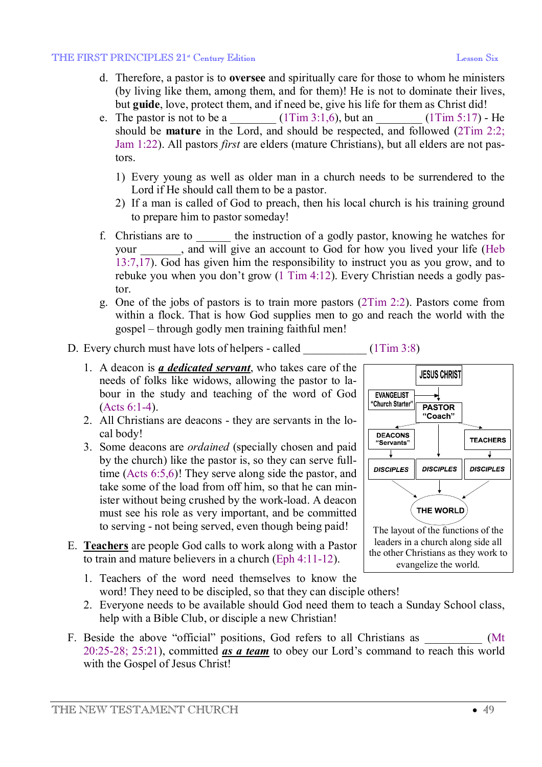- d. Therefore, a pastor is to **oversee** and spiritually care for those to whom he ministers (by living like them, among them, and for them)! He is not to dominate their lives, but **guide**, love, protect them, and if need be, give his life for them as Christ did!
- e. The pastor is not to be a  $\qquad (1\times 3:1,6)$ , but an  $\qquad \qquad (1\times 5:17)$  He should be **mature** in the Lord, and should be respected, and followed (2Tim 2:2; Jam 1:22). All pastors *first* are elders (mature Christians), but all elders are not pastors.
	- 1) Every young as well as older man in a church needs to be surrendered to the Lord if He should call them to be a pastor.
	- 2) If a man is called of God to preach, then his local church is his training ground to prepare him to pastor someday!
- f. Christians are to \_\_\_\_\_\_ the instruction of a godly pastor, knowing he watches for your , and will give an account to God for how you lived your life (Heb 13:7,17). God has given him the responsibility to instruct you as you grow, and to rebuke you when you don't grow (1 Tim 4:12). Every Christian needs a godly pastor.
- g. One of the jobs of pastors is to train more pastors (2Tim 2:2). Pastors come from within a flock. That is how God supplies men to go and reach the world with the gospel – through godly men training faithful men!

### D. Every church must have lots of helpers - called  $(1Tim 3:8)$

- 1. A deacon is *a dedicated servant*, who takes care of the needs of folks like widows, allowing the pastor to labour in the study and teaching of the word of God (Acts 6:1-4).
- 2. All Christians are deacons they are servants in the local body!
- 3. Some deacons are *ordained* (specially chosen and paid by the church) like the pastor is, so they can serve fulltime (Acts 6:5,6)! They serve along side the pastor, and take some of the load from off him, so that he can minister without being crushed by the work-load. A deacon must see his role as very important, and be committed to serving - not being served, even though being paid!
- E. **Teachers** are people God calls to work along with a Pastor to train and mature believers in a church (Eph 4:11-12).
	- 1. Teachers of the word need themselves to know the word! They need to be discipled, so that they can disciple others!
	- 2. Everyone needs to be available should God need them to teach a Sunday School class, help with a Bible Club, or disciple a new Christian!
- F. Beside the above "official" positions, God refers to all Christians as  $(Mt)$ 20:25-28; 25:21), committed *as a team* to obey our Lord's command to reach this world with the Gospel of Jesus Christ!



the other Christians as they work to evangelize the world.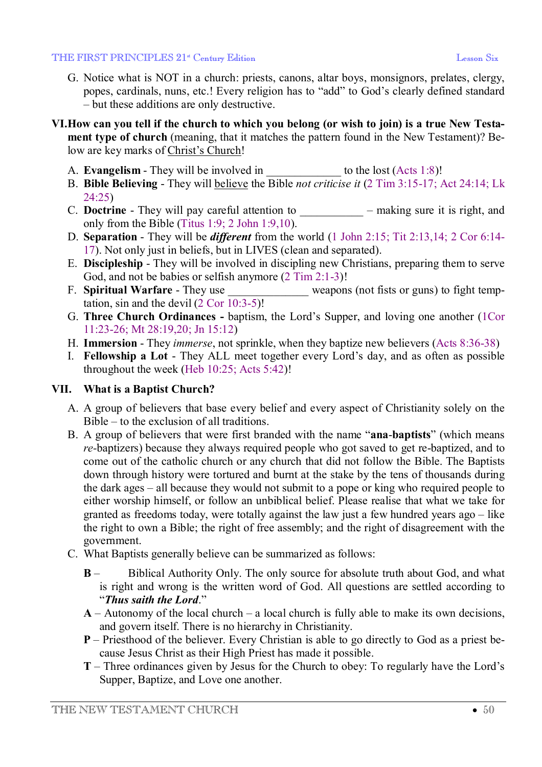#### THE FIRST PRINCIPLES 21<sup>\*</sup> Century Edition **Example 2014** Lesson Six

- G. Notice what is NOT in a church: priests, canons, altar boys, monsignors, prelates, clergy, popes, cardinals, nuns, etc.! Every religion has to "add" to God's clearly defined standard – but these additions are only destructive.
- VI. How can you tell if the church to which you belong (or wish to join) is a true New Testa**ment type of church** (meaning, that it matches the pattern found in the New Testament)? Below are key marks of Christ's Church!
	- A. **Evangelism** They will be involved in to the lost (Acts 1:8)!
	- B. **Bible Believing** They will believe the Bible *not criticise it* (2 Tim 3:15-17; Act 24:14; Lk  $24.25$
	- C. **Doctrine** They will pay careful attention to  $-$  making sure it is right, and only from the Bible (Titus 1:9; 2 John 1:9,10).
	- D. **Separation** They will be *different* from the world (1 John 2:15; Tit 2:13,14; 2 Cor 6:14- 17). Not only just in beliefs, but in LIVES (clean and separated).
	- E. **Discipleship** They will be involved in discipling new Christians, preparing them to serve God, and not be babies or selfish anymore  $(2 \text{ Tim } 2:1-3)!$
	- F. **Spiritual Warfare** They use weapons (not fists or guns) to fight temptation, sin and the devil (2 Cor 10:3-5)!
	- G. **Three Church Ordinances** baptism, the Lord's Supper, and loving one another (1Cor 11:23-26; Mt 28:19,20; Jn 15:12)
	- H. **Immersion** They *immerse*, not sprinkle, when they baptize new believers (Acts 8:36-38)
	- I. **Fellowship a Lot** They ALL meet together every Lord's day, and as often as possible throughout the week (Heb 10:25; Acts 5:42)!

# **VII. What is a Baptist Church?**

- A. A group of believers that base every belief and every aspect of Christianity solely on the Bible – to the exclusion of all traditions.
- B. A group of believers that were first branded with the name "**ana**-**baptists**" (which means *re-*baptizers) because they always required people who got saved to get re-baptized, and to come out of the catholic church or any church that did not follow the Bible. The Baptists down through history were tortured and burnt at the stake by the tens of thousands during the dark ages – all because they would not submit to a pope or king who required people to either worship himself, or follow an unbiblical belief. Please realise that what we take for granted as freedoms today, were totally against the law just a few hundred years ago – like the right to own a Bible; the right of free assembly; and the right of disagreement with the government.
- C. What Baptists generally believe can be summarized as follows:
	- **B**  Biblical Authority Only. The only source for absolute truth about God, and what is right and wrong is the written word of God. All questions are settled according to "*Thus saith the Lord*."
	- **A** Autonomy of the local church a local church is fully able to make its own decisions, and govern itself. There is no hierarchy in Christianity.
	- **P**  Priesthood of the believer. Every Christian is able to go directly to God as a priest because Jesus Christ as their High Priest has made it possible.
	- **T**  Three ordinances given by Jesus for the Church to obey: To regularly have the Lord's Supper, Baptize, and Love one another.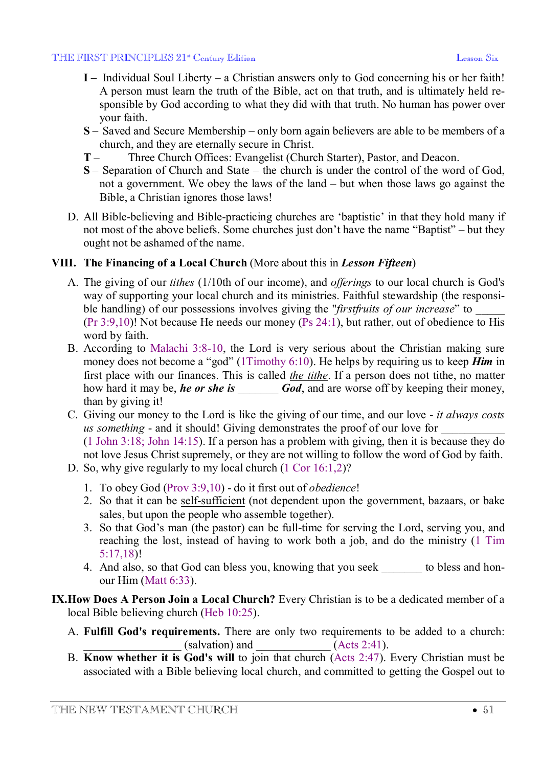- **I –** Individual Soul Liberty a Christian answers only to God concerning his or her faith! A person must learn the truth of the Bible, act on that truth, and is ultimately held responsible by God according to what they did with that truth. No human has power over your faith.
- **S**  Saved and Secure Membership only born again believers are able to be members of a church, and they are eternally secure in Christ.
- **T**  Three Church Offices: Evangelist (Church Starter), Pastor, and Deacon.
- **S**  Separation of Church and State the church is under the control of the word of God, not a government. We obey the laws of the land – but when those laws go against the Bible, a Christian ignores those laws!
- D. All Bible-believing and Bible-practicing churches are 'baptistic' in that they hold many if not most of the above beliefs. Some churches just don't have the name "Baptist" – but they ought not be ashamed of the name.

### **VIII. The Financing of a Local Church** (More about this in *Lesson Fifteen*)

- A. The giving of our *tithes* (1/10th of our income), and *offerings* to our local church is God's way of supporting your local church and its ministries. Faithful stewardship (the responsible handling) of our possessions involves giving the "*firstfruits of our increase*" to \_\_\_\_\_ (Pr 3:9,10)! Not because He needs our money (Ps 24:1), but rather, out of obedience to His word by faith.
- B. According to Malachi 3:8-10, the Lord is very serious about the Christian making sure money does not become a "god" (1Timothy 6:10). He helps by requiring us to keep *Him* in first place with our finances. This is called *the tithe*. If a person does not tithe, no matter how hard it may be, **he** or she is *God*, and are worse off by keeping their money, than by giving it!
- C. Giving our money to the Lord is like the giving of our time, and our love *it always costs us something* - and it should! Giving demonstrates the proof of our love for (1 John 3:18; John 14:15). If a person has a problem with giving, then it is because they do not love Jesus Christ supremely, or they are not willing to follow the word of God by faith.
- D. So, why give regularly to my local church (1 Cor 16:1,2)?
	- 1. To obey God (Prov 3:9,10) do it first out of *obedience*!
	- 2. So that it can be self-sufficient (not dependent upon the government, bazaars, or bake sales, but upon the people who assemble together).
	- 3. So that God's man (the pastor) can be full-time for serving the Lord, serving you, and reaching the lost, instead of having to work both a job, and do the ministry (1 Tim 5:17,18)!
	- 4. And also, so that God can bless you, knowing that you seek \_\_\_\_\_\_\_ to bless and honour Him (Matt 6:33).
- **IX.How Does A Person Join a Local Church?** Every Christian is to be a dedicated member of a local Bible believing church (Heb 10:25).
	- A. **Fulfill God's requirements.** There are only two requirements to be added to a church:  $\overline{\text{(Acts 2:41)}}$ .
	- B. **Know whether it is God's will** to join that church (Acts 2:47). Every Christian must be associated with a Bible believing local church, and committed to getting the Gospel out to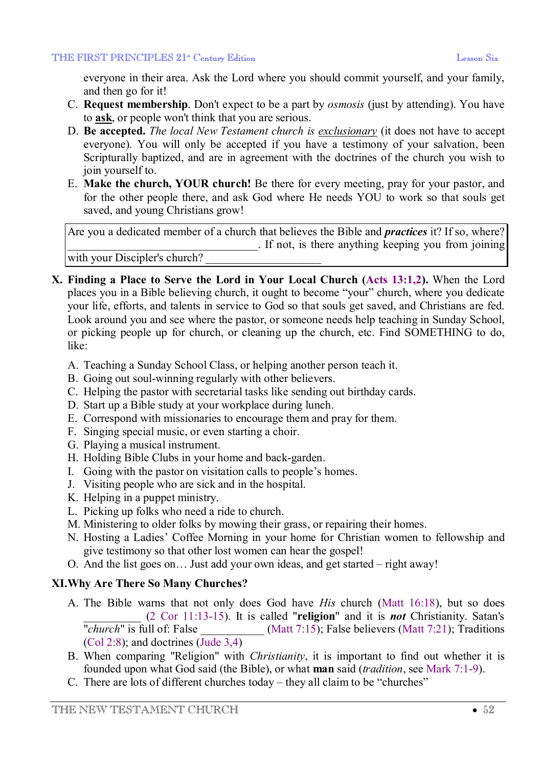everyone in their area. Ask the Lord where you should commit yourself, and your family, and then go for it!

- C. **Request membership**. Don't expect to be a part by *osmosis* (just by attending). You have to **ask**, or people won't think that you are serious.
- D. **Be accepted.** *The local New Testament church is exclusionary* (it does not have to accept everyone)*.* You will only be accepted if you have a testimony of your salvation, been Scripturally baptized, and are in agreement with the doctrines of the church you wish to join yourself to.
- E. **Make the church, YOUR church!** Be there for every meeting, pray for your pastor, and for the other people there, and ask God where He needs YOU to work so that souls get saved, and young Christians grow!

Are you a dedicated member of a church that believes the Bible and *practices* it? If so, where? \_\_\_\_\_\_\_\_\_\_\_\_\_\_\_\_\_\_\_\_\_\_\_\_\_\_\_\_\_\_\_\_\_. If not, is there anything keeping you from joining with your Discipler's church?

- **X. Finding a Place to Serve the Lord in Your Local Church (Acts 13:1,2).** When the Lord places you in a Bible believing church, it ought to become "your" church, where you dedicate your life, efforts, and talents in service to God so that souls get saved, and Christians are fed. Look around you and see where the pastor, or someone needs help teaching in Sunday School, or picking people up for church, or cleaning up the church, etc. Find SOMETHING to do, like:
	- A. Teaching a Sunday School Class, or helping another person teach it.
	- B. Going out soul-winning regularly with other believers.
	- C. Helping the pastor with secretarial tasks like sending out birthday cards.
	- D. Start up a Bible study at your workplace during lunch.
	- E. Correspond with missionaries to encourage them and pray for them.
	- F. Singing special music, or even starting a choir.
	- G. Playing a musical instrument.
	- H. Holding Bible Clubs in your home and back-garden.
	- I. Going with the pastor on visitation calls to people's homes.
	- J. Visiting people who are sick and in the hospital.
	- K. Helping in a puppet ministry.
	- L. Picking up folks who need a ride to church.
	- M. Ministering to older folks by mowing their grass, or repairing their homes.
	- N. Hosting a Ladies' Coffee Morning in your home for Christian women to fellowship and give testimony so that other lost women can hear the gospel!
	- O. And the list goes on… Just add your own ideas, and get started right away!

# **XI.Why Are There So Many Churches?**

- A. The Bible warns that not only does God have *His* church (Matt 16:18), but so does \_\_\_\_\_\_\_\_\_\_ (2 Cor 11:13-15). It is called "**religion**" and it is *not* Christianity. Satan's  $\frac{d}{dx}$  *church*" is full of: False  $\frac{d}{dx}$  (Matt 7:15); False believers (Matt 7:21); Traditions (Col 2:8); and doctrines (Jude 3,4)
- B. When comparing "Religion" with *Christianity*, it is important to find out whether it is founded upon what God said (the Bible), or what **man** said (*tradition*, see Mark 7:1-9).
- C. There are lots of different churches today they all claim to be "churches"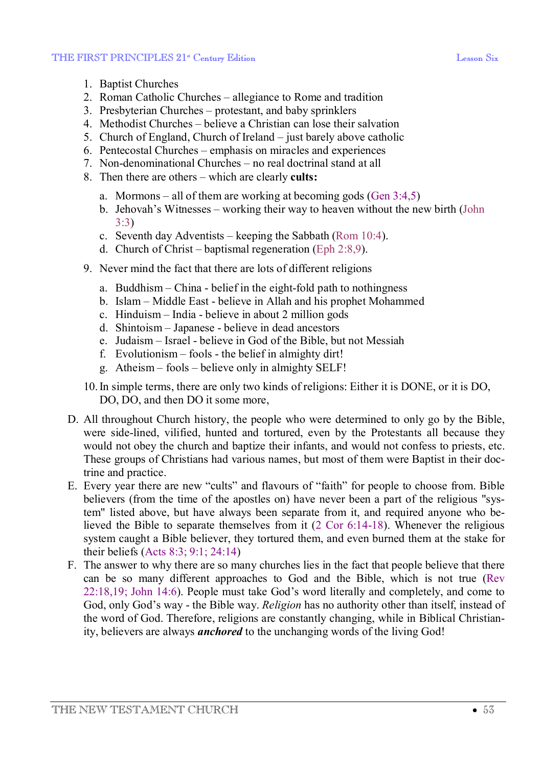- 1. Baptist Churches
- 2. Roman Catholic Churches allegiance to Rome and tradition
- 3. Presbyterian Churches protestant, and baby sprinklers
- 4. Methodist Churches believe a Christian can lose their salvation
- 5. Church of England, Church of Ireland just barely above catholic
- 6. Pentecostal Churches emphasis on miracles and experiences
- 7. Non-denominational Churches no real doctrinal stand at all
- 8. Then there are others which are clearly **cults:**
	- a. Mormons all of them are working at becoming gods (Gen 3:4,5)
	- b. Jehovah's Witnesses working their way to heaven without the new birth (John 3:3)
	- c. Seventh day Adventists keeping the Sabbath (Rom 10:4).
	- d. Church of Christ baptismal regeneration (Eph 2:8,9).
- 9. Never mind the fact that there are lots of different religions
	- a. Buddhism China belief in the eight-fold path to nothingness
	- b. Islam Middle East believe in Allah and his prophet Mohammed
	- c. Hinduism India believe in about 2 million gods
	- d. Shintoism Japanese believe in dead ancestors
	- e. Judaism Israel believe in God of the Bible, but not Messiah
	- f. Evolutionism fools the belief in almighty dirt!
	- g. Atheism fools believe only in almighty SELF!
- 10.In simple terms, there are only two kinds of religions: Either it is DONE, or it is DO, DO, DO, and then DO it some more,
- D. All throughout Church history, the people who were determined to only go by the Bible, were side-lined, vilified, hunted and tortured, even by the Protestants all because they would not obey the church and baptize their infants, and would not confess to priests, etc. These groups of Christians had various names, but most of them were Baptist in their doctrine and practice.
- E. Every year there are new "cults" and flavours of "faith" for people to choose from. Bible believers (from the time of the apostles on) have never been a part of the religious "system" listed above, but have always been separate from it, and required anyone who believed the Bible to separate themselves from it (2 Cor 6:14-18). Whenever the religious system caught a Bible believer, they tortured them, and even burned them at the stake for their beliefs (Acts 8:3; 9:1; 24:14)
- F. The answer to why there are so many churches lies in the fact that people believe that there can be so many different approaches to God and the Bible, which is not true (Rev 22:18,19; John 14:6). People must take God's word literally and completely, and come to God, only God's way - the Bible way. *Religion* has no authority other than itself, instead of the word of God. Therefore, religions are constantly changing, while in Biblical Christianity, believers are always *anchored* to the unchanging words of the living God!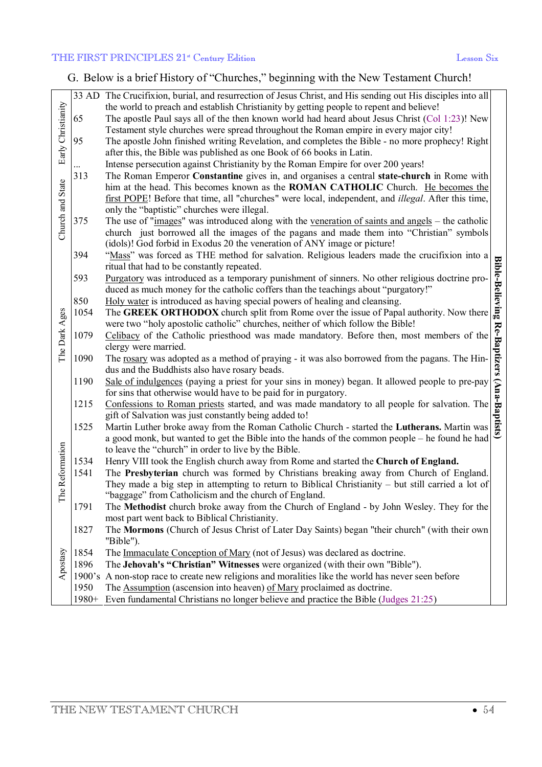### THE FIRST PRINCIPLES 21<sup>st</sup> Century Edition Lesson Six

G. Below is a brief History of "Churches," beginning with the New Testament Church!

| Early Christianity<br>Church and State |       | 33 AD The Crucifixion, burial, and resurrection of Jesus Christ, and His sending out His disciples into all<br>the world to preach and establish Christianity by getting people to repent and believe!                                                                                              |                             |
|----------------------------------------|-------|-----------------------------------------------------------------------------------------------------------------------------------------------------------------------------------------------------------------------------------------------------------------------------------------------------|-----------------------------|
|                                        | 65    | The apostle Paul says all of the then known world had heard about Jesus Christ (Col 1:23)! New<br>Testament style churches were spread throughout the Roman empire in every major city!                                                                                                             |                             |
|                                        | 95    | The apostle John finished writing Revelation, and completes the Bible - no more prophecy! Right                                                                                                                                                                                                     |                             |
|                                        |       | after this, the Bible was published as one Book of 66 books in Latin.                                                                                                                                                                                                                               |                             |
|                                        |       | Intense persecution against Christianity by the Roman Empire for over 200 years!                                                                                                                                                                                                                    |                             |
|                                        | 313   | The Roman Emperor Constantine gives in, and organises a central state-church in Rome with<br>him at the head. This becomes known as the <b>ROMAN CATHOLIC</b> Church. He becomes the<br>first POPE! Before that time, all "churches" were local, independent, and <i>illegal</i> . After this time, |                             |
|                                        |       | only the "baptistic" churches were illegal.                                                                                                                                                                                                                                                         |                             |
|                                        | 375   | The use of "images" was introduced along with the veneration of saints and angels – the catholic                                                                                                                                                                                                    |                             |
|                                        |       | church just borrowed all the images of the pagans and made them into "Christian" symbols                                                                                                                                                                                                            |                             |
|                                        | 394   | (idols)! God forbid in Exodus 20 the veneration of ANY image or picture!<br>"Mass" was forced as THE method for salvation. Religious leaders made the crucifixion into a                                                                                                                            |                             |
|                                        |       | ritual that had to be constantly repeated.                                                                                                                                                                                                                                                          |                             |
| The Dark Ages<br>Reformation<br>The    | 593   | Purgatory was introduced as a temporary punishment of sinners. No other religious doctrine pro-<br>duced as much money for the catholic coffers than the teachings about "purgatory!"                                                                                                               | <b>Bible-Believing</b>      |
|                                        | 850   | Holy water is introduced as having special powers of healing and cleansing.                                                                                                                                                                                                                         |                             |
|                                        | 1054  | The GREEK ORTHODOX church split from Rome over the issue of Papal authority. Now there<br>were two "holy apostolic catholic" churches, neither of which follow the Bible!                                                                                                                           |                             |
|                                        | 1079  | Celibacy of the Catholic priesthood was made mandatory. Before then, most members of the<br>clergy were married.                                                                                                                                                                                    | Re-Baptizers (Ana-Baptists) |
|                                        | 1090  | The rosary was adopted as a method of praying - it was also borrowed from the pagans. The Hin-<br>dus and the Buddhists also have rosary beads.                                                                                                                                                     |                             |
|                                        | 1190  | Sale of indulgences (paying a priest for your sins in money) began. It allowed people to pre-pay                                                                                                                                                                                                    |                             |
|                                        |       | for sins that otherwise would have to be paid for in purgatory.                                                                                                                                                                                                                                     |                             |
|                                        | 1215  | Confessions to Roman priests started, and was made mandatory to all people for salvation. The<br>gift of Salvation was just constantly being added to!                                                                                                                                              |                             |
|                                        | 1525  | Martin Luther broke away from the Roman Catholic Church - started the Lutherans. Martin was                                                                                                                                                                                                         |                             |
|                                        |       | a good monk, but wanted to get the Bible into the hands of the common people – he found he had<br>to leave the "church" in order to live by the Bible.                                                                                                                                              |                             |
|                                        | 1534  | Henry VIII took the English church away from Rome and started the Church of England.                                                                                                                                                                                                                |                             |
|                                        | 1541  | The Presbyterian church was formed by Christians breaking away from Church of England.                                                                                                                                                                                                              |                             |
|                                        |       | They made a big step in attempting to return to Biblical Christianity – but still carried a lot of                                                                                                                                                                                                  |                             |
|                                        |       | "baggage" from Catholicism and the church of England.                                                                                                                                                                                                                                               |                             |
|                                        | 1791  | The Methodist church broke away from the Church of England - by John Wesley. They for the                                                                                                                                                                                                           |                             |
|                                        |       | most part went back to Biblical Christianity.                                                                                                                                                                                                                                                       |                             |
|                                        | 1827  | The Mormons (Church of Jesus Christ of Later Day Saints) began "their church" (with their own<br>"Bible").                                                                                                                                                                                          |                             |
| Apostasy                               | 1854  | The Immaculate Conception of Mary (not of Jesus) was declared as doctrine.                                                                                                                                                                                                                          |                             |
|                                        | 1896  | The Jehovah's "Christian" Witnesses were organized (with their own "Bible").                                                                                                                                                                                                                        |                             |
|                                        |       | 1900's A non-stop race to create new religions and moralities like the world has never seen before                                                                                                                                                                                                  |                             |
|                                        | 1950  | The <b>Assumption</b> (ascension into heaven) of Mary proclaimed as doctrine.                                                                                                                                                                                                                       |                             |
|                                        | 1980+ | Even fundamental Christians no longer believe and practice the Bible (Judges 21:25)                                                                                                                                                                                                                 |                             |